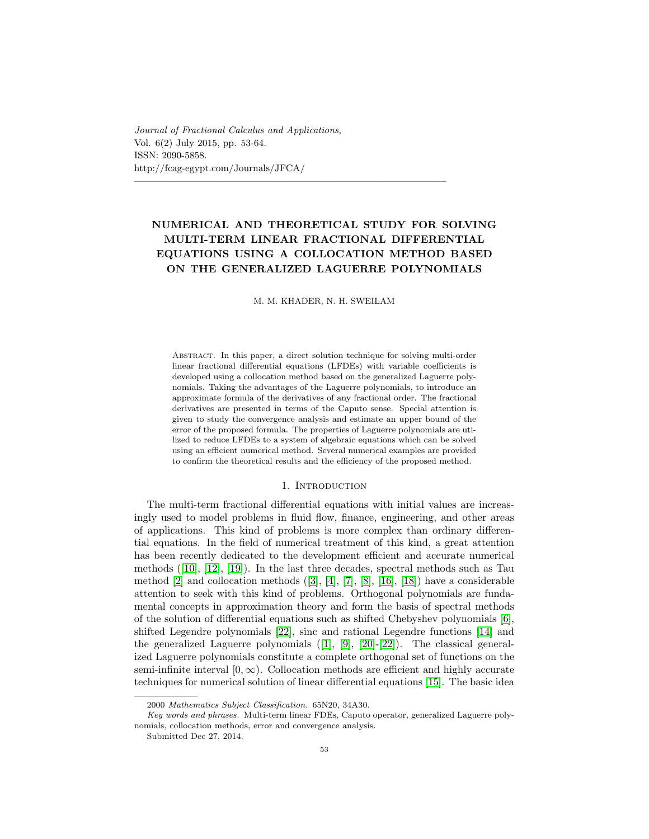Journal of Fractional Calculus and Applications, Vol. 6(2) July 2015, pp. 53-64. ISSN: 2090-5858. http://fcag-egypt.com/Journals/JFCA/

# NUMERICAL AND THEORETICAL STUDY FOR SOLVING MULTI-TERM LINEAR FRACTIONAL DIFFERENTIAL EQUATIONS USING A COLLOCATION METHOD BASED ON THE GENERALIZED LAGUERRE POLYNOMIALS

 $\overline{\phantom{a}}$  , and the contract of the contract of the contract of the contract of the contract of the contract of the contract of the contract of the contract of the contract of the contract of the contract of the contrac

M. M. KHADER, N. H. SWEILAM

Abstract. In this paper, a direct solution technique for solving multi-order linear fractional differential equations (LFDEs) with variable coefficients is developed using a collocation method based on the generalized Laguerre polynomials. Taking the advantages of the Laguerre polynomials, to introduce an approximate formula of the derivatives of any fractional order. The fractional derivatives are presented in terms of the Caputo sense. Special attention is given to study the convergence analysis and estimate an upper bound of the error of the proposed formula. The properties of Laguerre polynomials are utilized to reduce LFDEs to a system of algebraic equations which can be solved using an efficient numerical method. Several numerical examples are provided to confirm the theoretical results and the efficiency of the proposed method.

### 1. Introduction

The multi-term fractional differential equations with initial values are increasingly used to model problems in fluid flow, finance, engineering, and other areas of applications. This kind of problems is more complex than ordinary differential equations. In the field of numerical treatment of this kind, a great attention has been recently dedicated to the development efficient and accurate numerical methods([\[10\]](#page-10-0), [\[12\]](#page-11-0), [\[19\]](#page-11-1)). In the last three decades, spectral methods such as Tau method $[2]$  and collocation methods  $([3], [4], [7], [8], [16], [18])$  $([3], [4], [7], [8], [16], [18])$  $([3], [4], [7], [8], [16], [18])$  $([3], [4], [7], [8], [16], [18])$  $([3], [4], [7], [8], [16], [18])$  $([3], [4], [7], [8], [16], [18])$  $([3], [4], [7], [8], [16], [18])$  $([3], [4], [7], [8], [16], [18])$  $([3], [4], [7], [8], [16], [18])$  $([3], [4], [7], [8], [16], [18])$  $([3], [4], [7], [8], [16], [18])$  $([3], [4], [7], [8], [16], [18])$  $([3], [4], [7], [8], [16], [18])$  have a considerable attention to seek with this kind of problems. Orthogonal polynomials are fundamental concepts in approximation theory and form the basis of spectral methods of the solution of differential equations such as shifted Chebyshev polynomials [\[6\]](#page-10-6), shifted Legendre polynomials [\[22\]](#page-11-4), sinc and rational Legendre functions [\[14\]](#page-11-5) and thegeneralized Laguerre polynomials  $([1], [9], [20]$  $([1], [9], [20]$  $([1], [9], [20]$  $([1], [9], [20]$  $([1], [9], [20]$  $([1], [9], [20]$ - $[22]$ ). The classical generalized Laguerre polynomials constitute a complete orthogonal set of functions on the semi-infinite interval  $[0, \infty)$ . Collocation methods are efficient and highly accurate techniques for numerical solution of linear differential equations [\[15\]](#page-11-7). The basic idea

<sup>2000</sup> Mathematics Subject Classification. 65N20, 34A30.

Key words and phrases. Multi-term linear FDEs, Caputo operator, generalized Laguerre polynomials, collocation methods, error and convergence analysis.

Submitted Dec 27, 2014.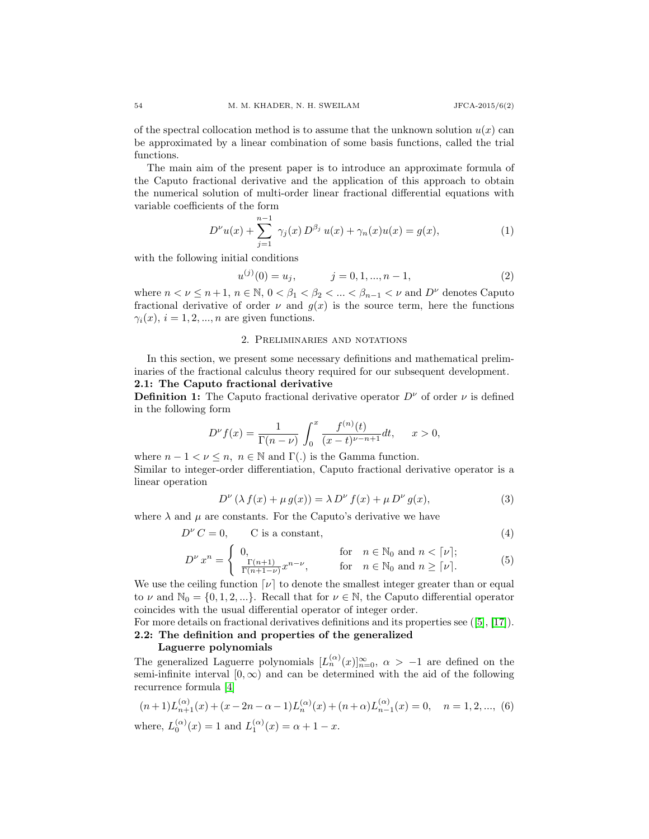of the spectral collocation method is to assume that the unknown solution  $u(x)$  can be approximated by a linear combination of some basis functions, called the trial functions.

The main aim of the present paper is to introduce an approximate formula of the Caputo fractional derivative and the application of this approach to obtain the numerical solution of multi-order linear fractional differential equations with variable coefficients of the form

<span id="page-1-0"></span>
$$
D^{\nu}u(x) + \sum_{j=1}^{n-1} \gamma_j(x) D^{\beta_j} u(x) + \gamma_n(x) u(x) = g(x), \qquad (1)
$$

with the following initial conditions

<span id="page-1-1"></span>
$$
u^{(j)}(0) = u_j, \t j = 0, 1, ..., n - 1,
$$
\t(2)

where  $n < \nu \leq n+1$ ,  $n \in \mathbb{N}$ ,  $0 < \beta_1 < \beta_2 < \ldots < \beta_{n-1} < \nu$  and  $D^{\nu}$  denotes Caputo fractional derivative of order  $\nu$  and  $g(x)$  is the source term, here the functions  $\gamma_i(x), i = 1, 2, ..., n$  are given functions.

#### 2. Preliminaries and notations

In this section, we present some necessary definitions and mathematical preliminaries of the fractional calculus theory required for our subsequent development. 2.1: The Caputo fractional derivative

**Definition 1:** The Caputo fractional derivative operator  $D^{\nu}$  of order  $\nu$  is defined in the following form

$$
D^{\nu} f(x) = \frac{1}{\Gamma(n-\nu)} \int_0^x \frac{f^{(n)}(t)}{(x-t)^{\nu-n+1}} dt, \quad x > 0,
$$

where  $n - 1 < \nu \leq n$ ,  $n \in \mathbb{N}$  and  $\Gamma(.)$  is the Gamma function. Similar to integer-order differentiation, Caputo fractional derivative operator is a linear operation

$$
D^{\nu} \left( \lambda f(x) + \mu g(x) \right) = \lambda D^{\nu} f(x) + \mu D^{\nu} g(x), \tag{3}
$$

where  $\lambda$  and  $\mu$  are constants. For the Caputo's derivative we have

$$
D^{\nu} C = 0, \qquad C \text{ is a constant}, \tag{4}
$$

$$
D^{\nu} x^n = \begin{cases} 0, & \text{for } n \in \mathbb{N}_0 \text{ and } n < [\nu]; \\ \frac{\Gamma(n+1)}{\Gamma(n+1-\nu)} x^{n-\nu}, & \text{for } n \in \mathbb{N}_0 \text{ and } n \geq [\nu]. \end{cases}
$$
(5)

We use the ceiling function  $[\nu]$  to denote the smallest integer greater than or equal to  $\nu$  and  $\mathbb{N}_0 = \{0, 1, 2, ...\}$ . Recall that for  $\nu \in \mathbb{N}$ , the Caputo differential operator coincides with the usual differential operator of integer order.

Formore details on fractional derivatives definitions and its properties see ([\[5\]](#page-10-9), [\[17\]](#page-11-8)). 2.2: The definition and properties of the generalized

### Laguerre polynomials

The generalized Laguerre polynomials  $[L_n^{(\alpha)}(x)]_{n=0}^{\infty}$ ,  $\alpha > -1$  are defined on the semi-infinite interval  $[0, \infty)$  and can be determined with the aid of the following recurrence formula [\[4\]](#page-10-3)

$$
(n+1)L_{n+1}^{(\alpha)}(x) + (x - 2n - \alpha - 1)L_n^{(\alpha)}(x) + (n+\alpha)L_{n-1}^{(\alpha)}(x) = 0, \quad n = 1, 2, ..., (6)
$$
  
where,  $L_0^{(\alpha)}(x) = 1$  and  $L_1^{(\alpha)}(x) = \alpha + 1 - x$ .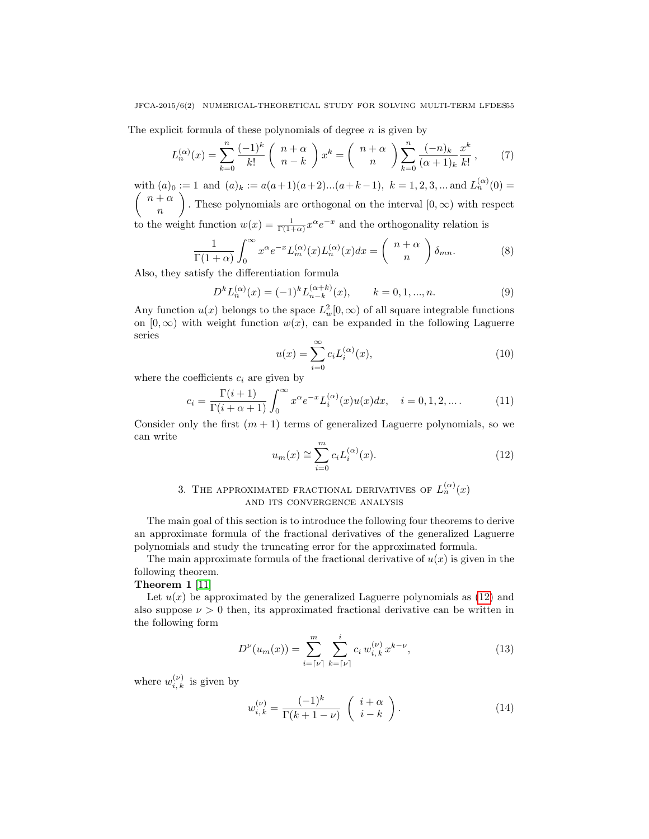### JFCA-2015/6(2) NUMERICAL-THEORETICAL STUDY FOR SOLVING MULTI-TERM LFDES55

The explicit formula of these polynomials of degree  $n$  is given by

$$
L_n^{(\alpha)}(x) = \sum_{k=0}^n \frac{(-1)^k}{k!} \begin{pmatrix} n+\alpha \\ n-k \end{pmatrix} x^k = \begin{pmatrix} n+\alpha \\ n \end{pmatrix} \sum_{k=0}^n \frac{(-n)_k}{(\alpha+1)_k} \frac{x^k}{k!},\tag{7}
$$

with  $(a)_0 := 1$  and  $(a)_k := a(a+1)(a+2)...(a+k-1), k = 1, 2, 3, ...$  and  $L_n^{(\alpha)}(0) =$  $\int n + \alpha$ n . These polynomials are orthogonal on the interval  $[0, \infty)$  with respect to the weight function  $w(x) = \frac{1}{\Gamma(1+\alpha)} x^{\alpha} e^{-x}$  and the orthogonality relation is

$$
\frac{1}{\Gamma(1+\alpha)} \int_0^\infty x^{\alpha} e^{-x} L_m^{(\alpha)}(x) L_n^{(\alpha)}(x) dx = \begin{pmatrix} n+\alpha \\ n \end{pmatrix} \delta_{mn}.
$$
 (8)

Also, they satisfy the differentiation formula

<span id="page-2-1"></span>
$$
D^{k}L_{n}^{(\alpha)}(x) = (-1)^{k}L_{n-k}^{(\alpha+k)}(x), \qquad k = 0, 1, ..., n.
$$
 (9)

Any function  $u(x)$  belongs to the space  $L^2_w[0,\infty)$  of all square integrable functions on  $[0, \infty)$  with weight function  $w(x)$ , can be expanded in the following Laguerre series

$$
u(x) = \sum_{i=0}^{\infty} c_i L_i^{(\alpha)}(x),
$$
\n(10)

where the coefficients  $c_i$  are given by

$$
c_i = \frac{\Gamma(i+1)}{\Gamma(i+\alpha+1)} \int_0^\infty x^{\alpha} e^{-x} L_i^{(\alpha)}(x) u(x) dx, \quad i = 0, 1, 2, \dots.
$$
 (11)

Consider only the first  $(m + 1)$  terms of generalized Laguerre polynomials, so we can write

<span id="page-2-0"></span>
$$
u_m(x) \cong \sum_{i=0}^m c_i L_i^{(\alpha)}(x). \tag{12}
$$

# 3. THE APPROXIMATED FRACTIONAL DERIVATIVES OF  $L_n^{(\alpha)}(x)$ and its convergence analysis

The main goal of this section is to introduce the following four theorems to derive an approximate formula of the fractional derivatives of the generalized Laguerre polynomials and study the truncating error for the approximated formula.

The main approximate formula of the fractional derivative of  $u(x)$  is given in the following theorem.

## Theorem 1 [\[11\]](#page-11-9)

Let  $u(x)$  be approximated by the generalized Laguerre polynomials as [\(12\)](#page-2-0) and also suppose  $\nu > 0$  then, its approximated fractional derivative can be written in the following form

$$
D^{\nu}(u_m(x)) = \sum_{i=\lceil\nu\rceil}^m \sum_{k=\lceil\nu\rceil}^i c_i w_{i,k}^{(\nu)} x^{k-\nu},
$$
\n(13)

where  $w_{i,k}^{(\nu)}$  is given by

$$
w_{i,k}^{(\nu)} = \frac{(-1)^k}{\Gamma(k+1-\nu)} \begin{pmatrix} i+\alpha \\ i-k \end{pmatrix}.
$$
 (14)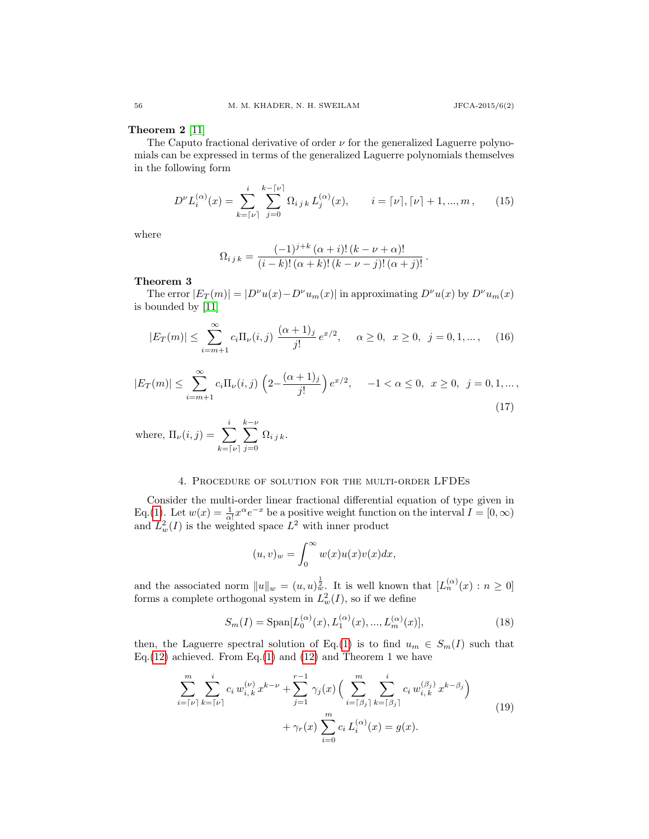### Theorem 2 [\[11\]](#page-11-9)

The Caputo fractional derivative of order  $\nu$  for the generalized Laguerre polynomials can be expressed in terms of the generalized Laguerre polynomials themselves in the following form

$$
D^{\nu}L_i^{(\alpha)}(x) = \sum_{k=\lceil \nu \rceil}^{i} \sum_{j=0}^{k-\lceil \nu \rceil} \Omega_{i\,j\,k} L_j^{(\alpha)}(x), \qquad i = \lceil \nu \rceil, \lceil \nu \rceil + 1, ..., m, \qquad (15)
$$

where

$$
\Omega_{i\,j\,k} = \frac{(-1)^{j+k} \, (\alpha + i)! \, (k - \nu + \alpha)!}{(i - k)! \, (\alpha + k)! \, (k - \nu - j)! \, (\alpha + j)!} \, .
$$

### Theorem 3

The error  $|E_T(m)| = |D^{\nu}u(x) - D^{\nu}u_m(x)|$  in approximating  $D^{\nu}u(x)$  by  $D^{\nu}u_m(x)$ is bounded by [\[11\]](#page-11-9)

$$
|E_T(m)| \le \sum_{i=m+1}^{\infty} c_i \Pi_{\nu}(i,j) \frac{(\alpha+1)_j}{j!} e^{x/2}, \quad \alpha \ge 0, \ x \ge 0, \ j = 0, 1, \dots, \quad (16)
$$

$$
|E_T(m)| \le \sum_{i=m+1}^{\infty} c_i \Pi_{\nu}(i,j) \left(2 - \frac{(\alpha+1)_j}{j!} \right) e^{x/2}, \quad -1 < \alpha \le 0, \ x \ge 0, \ j = 0, 1, \dots,
$$
\n(17)

where,  $\Pi_{\nu}(i,j) = \sum_{i=1}^{i}$  $k = \lceil \nu \rceil$  $\sum^{k-\nu}$  $j=0$  $\Omega_{i\,j\,k}$ .

### 4. Procedure of solution for the multi-order LFDEs

Consider the multi-order linear fractional differential equation of type given in Eq.[\(1\)](#page-1-0). Let  $w(x) = \frac{1}{\alpha!} x^{\alpha} e^{-x}$  be a positive weight function on the interval  $I = [0, \infty)$ and  $L^2_w(I)$  is the weighted space  $L^2$  with inner product

$$
(u,v)_w = \int_0^\infty w(x)u(x)v(x)dx,
$$

and the associated norm  $||u||_w = (u, u)_w^{\frac{1}{2}}$ . It is well known that  $[L_n^{(\alpha)}(x) : n \geq 0]$ forms a complete orthogonal system in  $L^2_w(I)$ , so if we define

$$
S_m(I) = \text{Span}[L_0^{(\alpha)}(x), L_1^{(\alpha)}(x), ..., L_m^{(\alpha)}(x)], \qquad (18)
$$

then, the Laguerre spectral solution of Eq.[\(1\)](#page-1-0) is to find  $u_m \in S_m(I)$  such that Eq.[\(12\)](#page-2-0) achieved. From Eq.[\(1\)](#page-1-0) and [\(12\)](#page-2-0) and Theorem 1 we have

<span id="page-3-0"></span>
$$
\sum_{i=\lceil\nu\rceil}^{m} \sum_{k=\lceil\nu\rceil}^{i} c_i w_{i,k}^{(\nu)} x^{k-\nu} + \sum_{j=1}^{r-1} \gamma_j(x) \left( \sum_{i=\lceil\beta_j\rceil}^{m} \sum_{k=\lceil\beta_j\rceil}^{i} c_i w_{i,k}^{(\beta_j)} x^{k-\beta_j} \right) + \gamma_r(x) \sum_{i=0}^{m} c_i L_i^{(\alpha)}(x) = g(x).
$$
\n(19)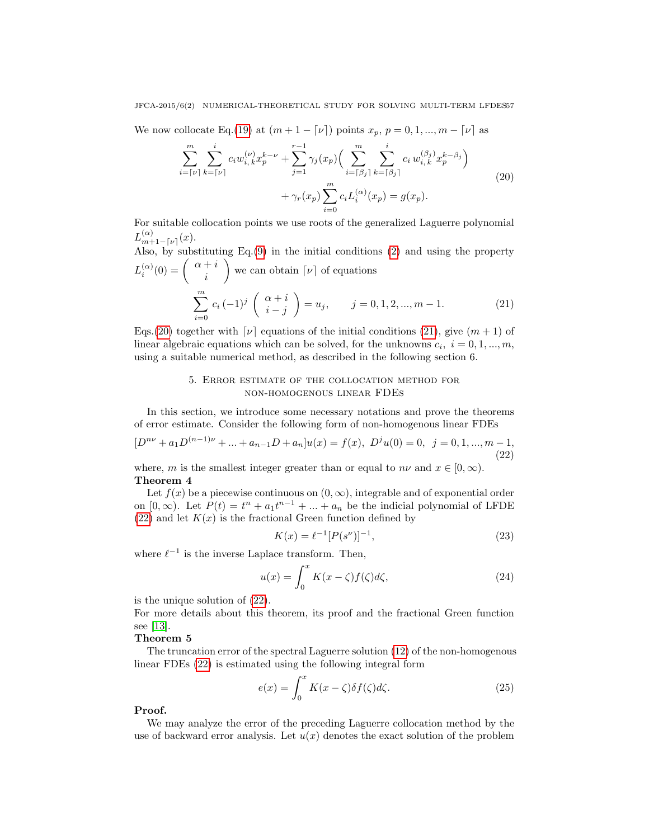### JFCA-2015/6(2) NUMERICAL-THEORETICAL STUDY FOR SOLVING MULTI-TERM LFDES57

<span id="page-4-0"></span>We now collocate Eq.[\(19\)](#page-3-0) at  $(m + 1 - \nu)$  points  $x_p, p = 0, 1, ..., m - \nu$  as

$$
\sum_{i=\lceil\nu\rceil}^{m} \sum_{k=\lceil\nu\rceil}^{i} c_i w_{i,k}^{(\nu)} x_p^{k-\nu} + \sum_{j=1}^{r-1} \gamma_j(x_p) \Big( \sum_{i=\lceil\beta_j\rceil}^{m} \sum_{k=\lceil\beta_j\rceil}^{i} c_i w_{i,k}^{(\beta_j)} x_p^{k-\beta_j} \Big) + \gamma_r(x_p) \sum_{i=0}^{m} c_i L_i^{(\alpha)}(x_p) = g(x_p).
$$
\n(20)

For suitable collocation points we use roots of the generalized Laguerre polynomial  $L_{m\pm}^{(\alpha)}$  $\binom{\alpha}{m+1-\lceil\nu\rceil}(x).$ 

Also, by substituting Eq.[\(9\)](#page-2-1) in the initial conditions [\(2\)](#page-1-1) and using the property  $L_i^{(\alpha)}(0) = \begin{pmatrix} \alpha+i \\ i \end{pmatrix}$ i we can obtain  $[\nu]$  of equations  $\sum_{i=1}^{m}$  $i=0$  $c_i \, (-1)^j \, \left( \begin{array}{c} \alpha + i \\ i \end{array} \right)$  $i - j$  $= u_j, \qquad j = 0, 1, 2, ..., m - 1.$  (21)

<span id="page-4-1"></span>Eqs.[\(20\)](#page-4-0) together with  $[\nu]$  equations of the initial conditions [\(21\)](#page-4-1), give  $(m + 1)$  of linear algebraic equations which can be solved, for the unknowns  $c_i$ ,  $i = 0, 1, ..., m$ , using a suitable numerical method, as described in the following section 6.

## 5. Error estimate of the collocation method for non-homogenous linear FDEs

In this section, we introduce some necessary notations and prove the theorems of error estimate. Consider the following form of non-homogenous linear FDEs

<span id="page-4-2"></span> $[D^{n\nu} + a_1D^{(n-1)\nu} + ... + a_{n-1}D + a_n]u(x) = f(x), D^ju(0) = 0, j = 0, 1, ..., m-1,$ (22)

where, m is the smallest integer greater than or equal to  $n\nu$  and  $x \in [0, \infty)$ . Theorem 4

Let  $f(x)$  be a piecewise continuous on  $(0, \infty)$ , integrable and of exponential order on  $[0, \infty)$ . Let  $P(t) = t^n + a_1 t^{n-1} + ... + a_n$  be the indicial polynomial of LFDE  $(22)$  and let  $K(x)$  is the fractional Green function defined by

$$
K(x) = \ell^{-1} [P(s^{\nu})]^{-1}, \tag{23}
$$

where  $\ell^{-1}$  is the inverse Laplace transform. Then,

<span id="page-4-3"></span>
$$
u(x) = \int_0^x K(x - \zeta) f(\zeta) d\zeta,
$$
\n(24)

is the unique solution of [\(22\)](#page-4-2).

For more details about this theorem, its proof and the fractional Green function see [\[13\]](#page-11-10).

### Theorem 5

The truncation error of the spectral Laguerre solution [\(12\)](#page-2-0) of the non-homogenous linear FDEs [\(22\)](#page-4-2) is estimated using the following integral form

$$
e(x) = \int_0^x K(x - \zeta) \delta f(\zeta) d\zeta.
$$
 (25)

### Proof.

We may analyze the error of the preceding Laguerre collocation method by the use of backward error analysis. Let  $u(x)$  denotes the exact solution of the problem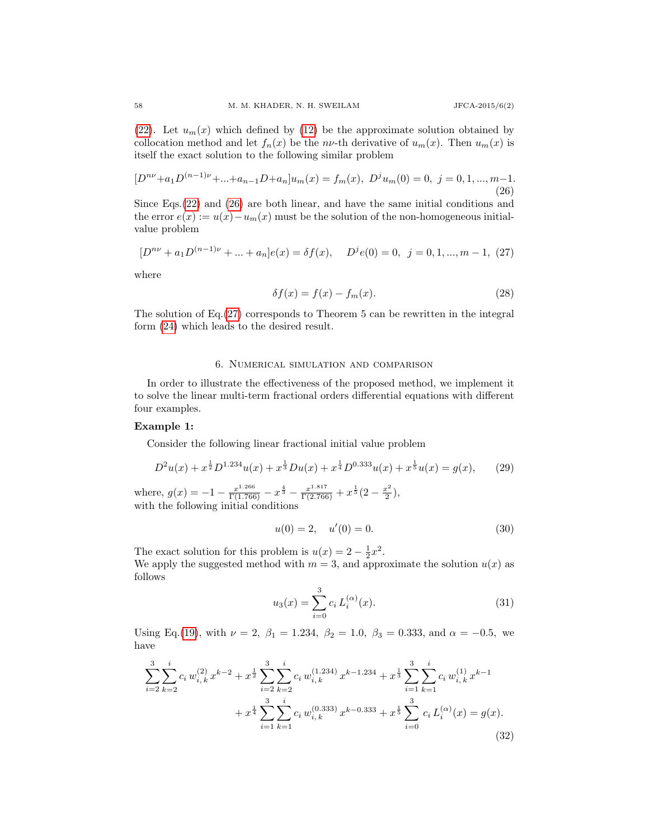[\(22\)](#page-4-2). Let  $u_m(x)$  which defined by [\(12\)](#page-2-0) be the approximate solution obtained by collocation method and let  $f_n(x)$  be the nv-th derivative of  $u_m(x)$ . Then  $u_m(x)$  is itself the exact solution to the following similar problem

<span id="page-5-0"></span>
$$
[D^{n\nu} + a_1 D^{(n-1)\nu} + \dots + a_{n-1} D + a_n] u_m(x) = f_m(x), \ D^j u_m(0) = 0, \ j = 0, 1, \dots, m-1.
$$
\n(26)

Since Eqs.[\(22\)](#page-4-2) and [\(26\)](#page-5-0) are both linear, and have the same initial conditions and the error  $e(x) := u(x) - u_m(x)$  must be the solution of the non-homogeneous initialvalue problem

<span id="page-5-1"></span>
$$
[D^{n\nu} + a_1 D^{(n-1)\nu} + \dots + a_n]e(x) = \delta f(x), \quad D^j e(0) = 0, \ j = 0, 1, \dots, m - 1, \ (27)
$$

where

$$
\delta f(x) = f(x) - f_m(x). \tag{28}
$$

The solution of Eq.[\(27\)](#page-5-1) corresponds to Theorem 5 can be rewritten in the integral form [\(24\)](#page-4-3) which leads to the desired result.

### 6. Numerical simulation and comparison

In order to illustrate the effectiveness of the proposed method, we implement it to solve the linear multi-term fractional orders differential equations with different four examples.

### Example 1:

Consider the following linear fractional initial value problem

$$
D^{2}u(x) + x^{\frac{1}{2}}D^{1.234}u(x) + x^{\frac{1}{3}}Du(x) + x^{\frac{1}{4}}D^{0.333}u(x) + x^{\frac{1}{5}}u(x) = g(x),
$$
 (29)  
where,  $g(x) = -1 - \frac{x^{1.266}}{\Gamma(1.766)} - x^{\frac{4}{3}} - \frac{x^{1.817}}{\Gamma(2.766)} + x^{\frac{1}{5}}(2 - \frac{x^{2}}{2}),$ 

with the following initial conditions

$$
u(0) = 2, \quad u'(0) = 0. \tag{30}
$$

The exact solution for this problem is  $u(x) = 2 - \frac{1}{2}x^2$ . We apply the suggested method with  $m = 3$ , and approximate the solution  $u(x)$  as follows

$$
u_3(x) = \sum_{i=0}^{3} c_i L_i^{(\alpha)}(x).
$$
 (31)

Using Eq.[\(19\)](#page-3-0), with  $\nu = 2$ ,  $\beta_1 = 1.234$ ,  $\beta_2 = 1.0$ ,  $\beta_3 = 0.333$ , and  $\alpha = -0.5$ , we have

<span id="page-5-2"></span>
$$
\sum_{i=2}^{3} \sum_{k=2}^{i} c_i w_{i,k}^{(2)} x^{k-2} + x^{\frac{1}{2}} \sum_{i=2}^{3} \sum_{k=2}^{i} c_i w_{i,k}^{(1.234)} x^{k-1.234} + x^{\frac{1}{3}} \sum_{i=1}^{3} \sum_{k=1}^{i} c_i w_{i,k}^{(1)} x^{k-1} + x^{\frac{1}{4}} \sum_{i=1}^{3} \sum_{k=1}^{i} c_i w_{i,k}^{(0.333)} x^{k-0.333} + x^{\frac{1}{5}} \sum_{i=0}^{3} c_i L_i^{(\alpha)}(x) = g(x).
$$
\n(32)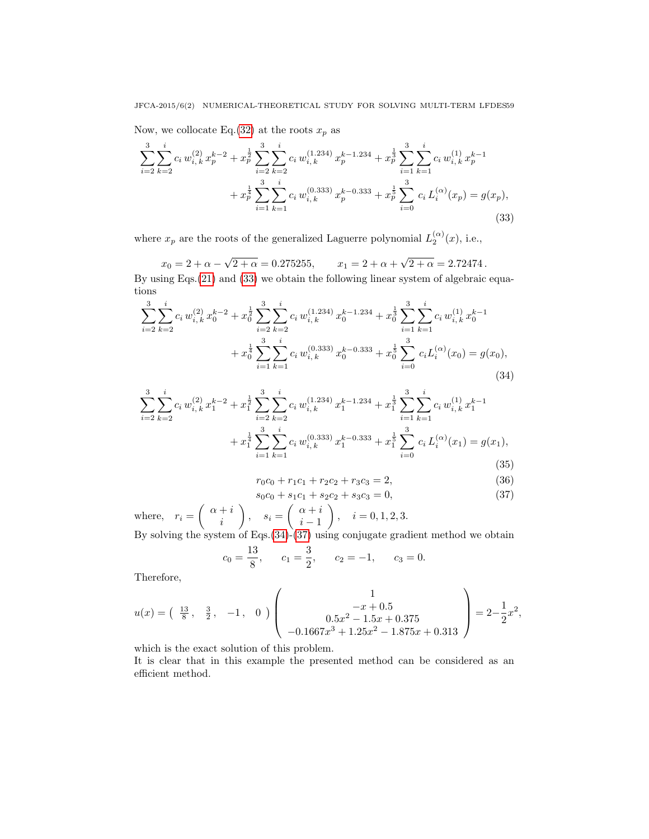Now, we collocate Eq.[\(32\)](#page-5-2) at the roots  $x_p$  as

<span id="page-6-0"></span>
$$
\sum_{i=2}^{3} \sum_{k=2}^{i} c_i w_{i,k}^{(2)} x_p^{k-2} + x_p^{\frac{1}{2}} \sum_{i=2}^{3} \sum_{k=2}^{i} c_i w_{i,k}^{(1,234)} x_p^{k-1,234} + x_p^{\frac{1}{3}} \sum_{i=1}^{3} \sum_{k=1}^{i} c_i w_{i,k}^{(1)} x_p^{k-1} + x_p^{\frac{1}{4}} \sum_{i=1}^{3} \sum_{k=1}^{i} c_i w_{i,k}^{(0,333)} x_p^{k-0.333} + x_p^{\frac{1}{5}} \sum_{i=0}^{3} c_i L_i^{(\alpha)}(x_p) = g(x_p),
$$
\n(33)

where  $x_p$  are the roots of the generalized Laguerre polynomial  $L_2^{(\alpha)}(x)$ , i.e.,

 $x_0 = 2 + \alpha -$ √  $2 + \alpha = 0.275255,$   $x_1 = 2 + \alpha +$ √  $2 + \alpha = 2.72474$ . By using Eqs.[\(21\)](#page-4-1) and [\(33\)](#page-6-0) we obtain the following linear system of algebraic equa-

tions

<span id="page-6-1"></span>
$$
\sum_{i=2}^{3} \sum_{k=2}^{i} c_i w_{i,k}^{(2)} x_0^{k-2} + x_0^{\frac{1}{2}} \sum_{i=2}^{3} \sum_{k=2}^{i} c_i w_{i,k}^{(1,234)} x_0^{k-1.234} + x_0^{\frac{1}{3}} \sum_{i=1}^{3} \sum_{k=1}^{i} c_i w_{i,k}^{(1)} x_0^{k-1} + x_0^{\frac{1}{4}} \sum_{i=1}^{3} \sum_{k=1}^{i} c_i w_{i,k}^{(0,333)} x_0^{k-0.333} + x_0^{\frac{1}{5}} \sum_{i=0}^{3} c_i L_i^{(\alpha)}(x_0) = g(x_0),
$$
\n(34)

$$
\sum_{i=2}^{3} \sum_{k=2}^{i} c_i w_{i,k}^{(2)} x_1^{k-2} + x_1^{\frac{1}{2}} \sum_{i=2}^{3} \sum_{k=2}^{i} c_i w_{i,k}^{(1,234)} x_1^{k-1.234} + x_1^{\frac{1}{3}} \sum_{i=1}^{3} \sum_{k=1}^{i} c_i w_{i,k}^{(1)} x_1^{k-1} + x_1^{\frac{1}{4}} \sum_{i=1}^{3} \sum_{k=1}^{i} c_i w_{i,k}^{(0,333)} x_1^{k-0.333} + x_1^{\frac{1}{5}} \sum_{i=0}^{3} c_i L_i^{(\alpha)}(x_1) = g(x_1),
$$
\n(35)

$$
r_0c_0 + r_1c_1 + r_2c_2 + r_3c_3 = 2,
$$
\n(36)

<span id="page-6-2"></span>
$$
s_0c_0 + s_1c_1 + s_2c_2 + s_3c_3 = 0,\t\t(37)
$$

where,  $r_i = \begin{cases} \alpha + i \\ i \end{cases}$ i  $\bigg\}, \quad s_i = \left( \begin{array}{c} \alpha + i \\ i \end{array} \right)$  $i-1$  $\bigg), \quad i = 0, 1, 2, 3.$ By solving the system of Eqs. $(34)-(37)$  $(34)-(37)$  $(34)-(37)$  using conjugate gradient method we obtain

$$
c_0 = \frac{13}{8}
$$
,  $c_1 = \frac{3}{2}$ ,  $c_2 = -1$ ,  $c_3 = 0$ .

Therefore,

$$
u(x) = \begin{pmatrix} \frac{13}{8}, & \frac{3}{2}, & -1, & 0 \end{pmatrix} \begin{pmatrix} 1 \\ -x + 0.5 \\ 0.5x^2 - 1.5x + 0.375 \\ -0.1667x^3 + 1.25x^2 - 1.875x + 0.313 \end{pmatrix} = 2 - \frac{1}{2}x^2,
$$

which is the exact solution of this problem.

It is clear that in this example the presented method can be considered as an efficient method.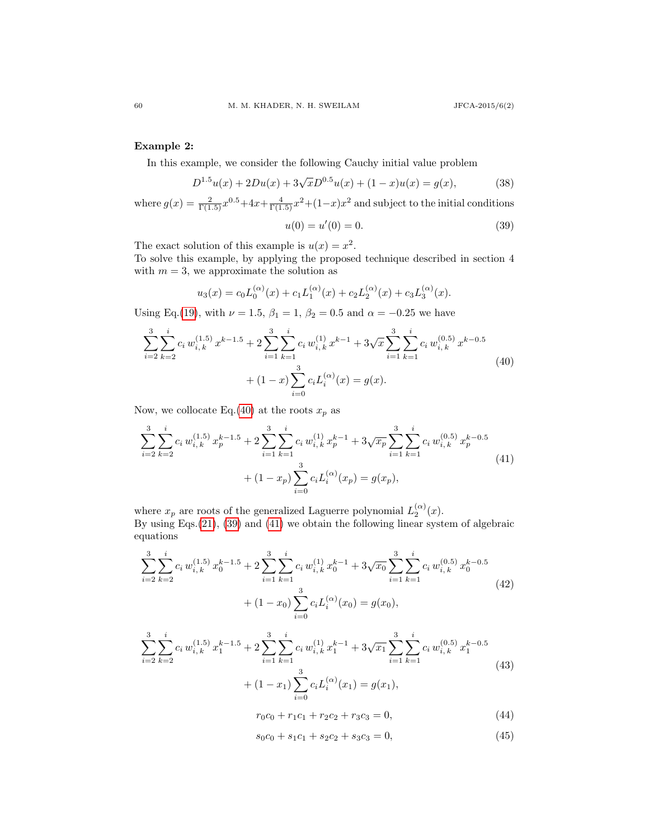## Example 2:

In this example, we consider the following Cauchy initial value problem

$$
D^{1.5}u(x) + 2Du(x) + 3\sqrt{x}D^{0.5}u(x) + (1 - x)u(x) = g(x),
$$
\n(38)

where  $g(x) = \frac{2}{\Gamma(1.5)}x^{0.5} + 4x + \frac{4}{\Gamma(1.5)}x^2 + (1-x)x^2$  and subject to the initial conditions

<span id="page-7-1"></span>
$$
u(0) = u'(0) = 0.
$$
\n(39)

The exact solution of this example is  $u(x) = x^2$ .

To solve this example, by applying the proposed technique described in section 4 with  $m = 3$ , we approximate the solution as

$$
u_3(x) = c_0 L_0^{(\alpha)}(x) + c_1 L_1^{(\alpha)}(x) + c_2 L_2^{(\alpha)}(x) + c_3 L_3^{(\alpha)}(x).
$$

Using Eq.[\(19\)](#page-3-0), with  $\nu = 1.5$ ,  $\beta_1 = 1$ ,  $\beta_2 = 0.5$  and  $\alpha = -0.25$  we have

<span id="page-7-0"></span>
$$
\sum_{i=2}^{3} \sum_{k=2}^{i} c_i w_{i,k}^{(1.5)} x^{k-1.5} + 2 \sum_{i=1}^{3} \sum_{k=1}^{i} c_i w_{i,k}^{(1)} x^{k-1} + 3\sqrt{x} \sum_{i=1}^{3} \sum_{k=1}^{i} c_i w_{i,k}^{(0.5)} x^{k-0.5}
$$
  
+ 
$$
(1-x) \sum_{i=0}^{3} c_i L_i^{(\alpha)}(x) = g(x).
$$
 (40)

Now, we collocate Eq.[\(40\)](#page-7-0) at the roots  $x_p$  as

<span id="page-7-2"></span>
$$
\sum_{i=2}^{3} \sum_{k=2}^{i} c_i w_{i,k}^{(1.5)} x_p^{k-1.5} + 2 \sum_{i=1}^{3} \sum_{k=1}^{i} c_i w_{i,k}^{(1)} x_p^{k-1} + 3\sqrt{x_p} \sum_{i=1}^{3} \sum_{k=1}^{i} c_i w_{i,k}^{(0.5)} x_p^{k-0.5}
$$
  
+ 
$$
(1 - x_p) \sum_{i=0}^{3} c_i L_i^{(\alpha)}(x_p) = g(x_p),
$$
\n
$$
(41)
$$

where  $x_p$  are roots of the generalized Laguerre polynomial  $L_2^{(\alpha)}(x)$ . By using Eqs.[\(21\)](#page-4-1), [\(39\)](#page-7-1) and [\(41\)](#page-7-2) we obtain the following linear system of algebraic equations

<span id="page-7-3"></span>
$$
\sum_{i=2}^{3} \sum_{k=2}^{i} c_i w_{i,k}^{(1.5)} x_0^{k-1.5} + 2 \sum_{i=1}^{3} \sum_{k=1}^{i} c_i w_{i,k}^{(1)} x_0^{k-1} + 3 \sqrt{x_0} \sum_{i=1}^{3} \sum_{k=1}^{i} c_i w_{i,k}^{(0.5)} x_0^{k-0.5}
$$
  
+ 
$$
(1 - x_0) \sum_{i=0}^{3} c_i L_i^{(\alpha)}(x_0) = g(x_0),
$$
 (42)

$$
\sum_{i=2}^{3} \sum_{k=2}^{i} c_i w_{i,k}^{(1.5)} x_1^{k-1.5} + 2 \sum_{i=1}^{3} \sum_{k=1}^{i} c_i w_{i,k}^{(1)} x_1^{k-1} + 3 \sqrt{x_1} \sum_{i=1}^{3} \sum_{k=1}^{i} c_i w_{i,k}^{(0.5)} x_1^{k-0.5}
$$
  
+ 
$$
(1 - x_1) \sum_{i=0}^{3} c_i L_i^{(\alpha)}(x_1) = g(x_1),
$$
 (43)

$$
r_0c_0 + r_1c_1 + r_2c_2 + r_3c_3 = 0,\t\t(44)
$$

<span id="page-7-4"></span>
$$
s_0c_0 + s_1c_1 + s_2c_2 + s_3c_3 = 0,\t\t(45)
$$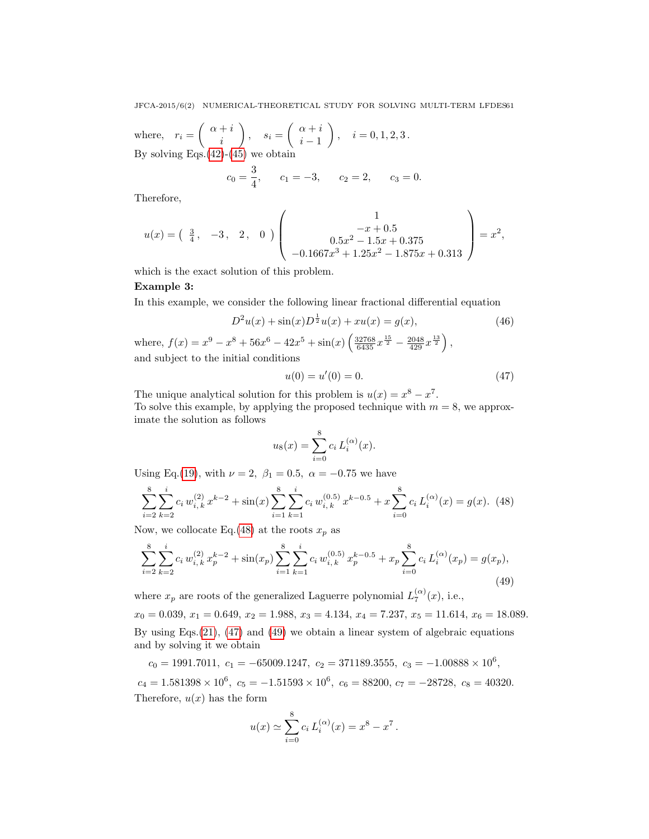where,  $r_i = \begin{pmatrix} \alpha + i \\ i \end{pmatrix}$ i  $\Big\}$ ,  $s_i = \left( \begin{array}{c} \alpha + i \\ i \end{array} \right)$  $i - 1$  $\Big), \quad i = 0, 1, 2, 3 \,.$ By solving Eqs.  $(42)$ - $(45)$  we obtain

$$
c_0 = \frac{3}{4}
$$
,  $c_1 = -3$ ,  $c_2 = 2$ ,  $c_3 = 0$ .

Therefore,

$$
u(x) = \begin{pmatrix} \frac{3}{4}, & -3, & 2, & 0 \end{pmatrix} \begin{pmatrix} 1 \\ -x + 0.5 \\ 0.5x^2 - 1.5x + 0.375 \\ -0.1667x^3 + 1.25x^2 - 1.875x + 0.313 \end{pmatrix} = x^2,
$$

which is the exact solution of this problem.

### Example 3:

In this example, we consider the following linear fractional differential equation

$$
D^{2}u(x) + \sin(x)D^{\frac{1}{2}}u(x) + xu(x) = g(x),
$$
\n
$$
x^{8} + 56x^{6} - 42x^{5} + \sin(x) \left(32768 x^{\frac{15}{2}} - 2048 x^{\frac{13}{2}}\right)
$$
\n
$$
(46)
$$

where,  $f(x) = x^9 - x^8 + 56x^6 - 42x^5 + \sin(x) \left( \frac{32768}{6435} x^{\frac{15}{2}} - \frac{2048}{429} x^{\frac{13}{2}} \right)$ , and subject to the initial conditions

<span id="page-8-1"></span>
$$
u(0) = u'(0) = 0.\t\t(47)
$$

The unique analytical solution for this problem is  $u(x) = x^8 - x^7$ . To solve this example, by applying the proposed technique with  $m = 8$ , we approximate the solution as follows

$$
u_8(x) = \sum_{i=0}^{8} c_i L_i^{(\alpha)}(x).
$$

Using Eq.[\(19\)](#page-3-0), with  $\nu = 2$ ,  $\beta_1 = 0.5$ ,  $\alpha = -0.75$  we have

<span id="page-8-0"></span>
$$
\sum_{i=2}^{8} \sum_{k=2}^{i} c_i w_{i,k}^{(2)} x^{k-2} + \sin(x) \sum_{i=1}^{8} \sum_{k=1}^{i} c_i w_{i,k}^{(0.5)} x^{k-0.5} + x \sum_{i=0}^{8} c_i L_i^{(\alpha)}(x) = g(x). \tag{48}
$$

Now, we collocate Eq.[\(48\)](#page-8-0) at the roots  $x_p$  as

<span id="page-8-2"></span>
$$
\sum_{i=2}^{8} \sum_{k=2}^{i} c_i w_{i,k}^{(2)} x_p^{k-2} + \sin(x_p) \sum_{i=1}^{8} \sum_{k=1}^{i} c_i w_{i,k}^{(0.5)} x_p^{k-0.5} + x_p \sum_{i=0}^{8} c_i L_i^{(\alpha)}(x_p) = g(x_p),\tag{49}
$$

where  $x_p$  are roots of the generalized Laguerre polynomial  $L_7^{(\alpha)}(x)$ , i.e.,

 $x_0 = 0.039, x_1 = 0.649, x_2 = 1.988, x_3 = 4.134, x_4 = 7.237, x_5 = 11.614, x_6 = 18.089.$ By using Eqs.[\(21\)](#page-4-1), [\(47\)](#page-8-1) and [\(49\)](#page-8-2) we obtain a linear system of algebraic equations and by solving it we obtain

 $c_0 = 1991.7011, \ c_1 = -65009.1247, \ c_2 = 371189.3555, \ c_3 = -1.00888 \times 10^6,$ 

 $c_4 = 1.581398 \times 10^6$ ,  $c_5 = -1.51593 \times 10^6$ ,  $c_6 = 88200$ ,  $c_7 = -28728$ ,  $c_8 = 40320$ . Therefore,  $u(x)$  has the form

$$
u(x) \simeq \sum_{i=0}^{8} c_i L_i^{(\alpha)}(x) = x^8 - x^7.
$$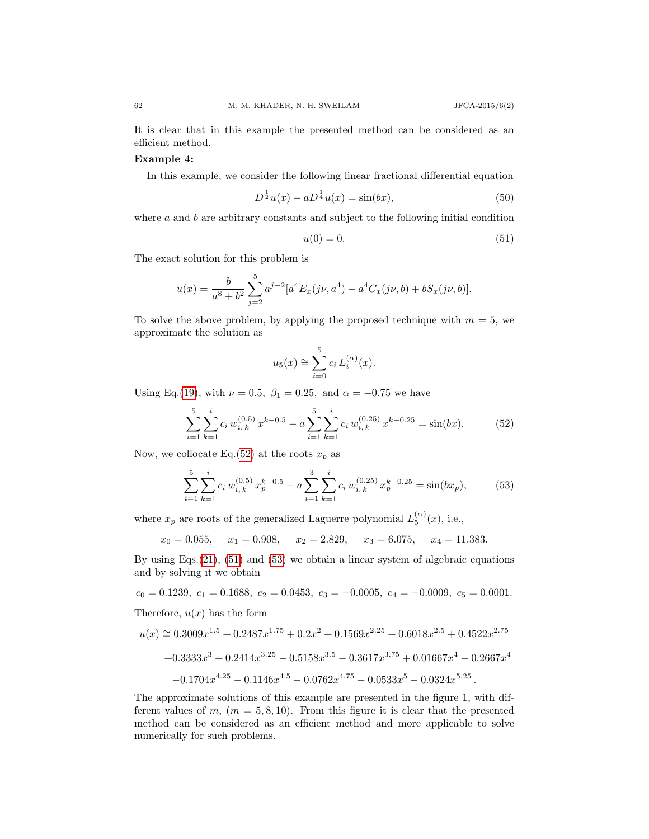It is clear that in this example the presented method can be considered as an efficient method.

### Example 4:

In this example, we consider the following linear fractional differential equation

$$
D^{\frac{1}{2}}u(x) - aD^{\frac{1}{4}}u(x) = \sin(bx),\tag{50}
$$

where  $a$  and  $b$  are arbitrary constants and subject to the following initial condition

<span id="page-9-1"></span>
$$
u(0) = 0.\t\t(51)
$$

The exact solution for this problem is

$$
u(x) = \frac{b}{a^8 + b^2} \sum_{j=2}^{5} a^{j-2} [a^4 E_x(j\nu, a^4) - a^4 C_x(j\nu, b) + bS_x(j\nu, b)].
$$

To solve the above problem, by applying the proposed technique with  $m = 5$ , we approximate the solution as

$$
u_5(x) \cong \sum_{i=0}^5 c_i L_i^{(\alpha)}(x).
$$

Using Eq.[\(19\)](#page-3-0), with  $\nu = 0.5$ ,  $\beta_1 = 0.25$ , and  $\alpha = -0.75$  we have

<span id="page-9-0"></span>
$$
\sum_{i=1}^{5} \sum_{k=1}^{i} c_i w_{i,k}^{(0.5)} x^{k-0.5} - a \sum_{i=1}^{5} \sum_{k=1}^{i} c_i w_{i,k}^{(0.25)} x^{k-0.25} = \sin(bx). \tag{52}
$$

Now, we collocate Eq.[\(52\)](#page-9-0) at the roots  $x_p$  as

<span id="page-9-2"></span>
$$
\sum_{i=1}^{5} \sum_{k=1}^{i} c_i w_{i,k}^{(0.5)} x_p^{k-0.5} - a \sum_{i=1}^{3} \sum_{k=1}^{i} c_i w_{i,k}^{(0.25)} x_p^{k-0.25} = \sin(bx_p),
$$
 (53)

where  $x_p$  are roots of the generalized Laguerre polynomial  $L_5^{(\alpha)}(x)$ , i.e.,

$$
x_0 = 0.055
$$
,  $x_1 = 0.908$ ,  $x_2 = 2.829$ ,  $x_3 = 6.075$ ,  $x_4 = 11.383$ .

By using Eqs.[\(21\)](#page-4-1), [\(51\)](#page-9-1) and [\(53\)](#page-9-2) we obtain a linear system of algebraic equations and by solving it we obtain

 $c_0 = 0.1239, c_1 = 0.1688, c_2 = 0.0453, c_3 = -0.0005, c_4 = -0.0009, c_5 = 0.0001.$ 

Therefore,  $u(x)$  has the form

$$
u(x) \approx 0.3009x^{1.5} + 0.2487x^{1.75} + 0.2x^2 + 0.1569x^{2.25} + 0.6018x^{2.5} + 0.4522x^{2.75} + 0.3333x^3 + 0.2414x^{3.25} - 0.5158x^{3.5} - 0.3617x^{3.75} + 0.01667x^4 - 0.2667x^4 - 0.1704x^{4.25} - 0.1146x^{4.5} - 0.0762x^{4.75} - 0.0533x^5 - 0.0324x^{5.25}.
$$

The approximate solutions of this example are presented in the figure 1, with different values of  $m$ ,  $(m = 5, 8, 10)$ . From this figure it is clear that the presented method can be considered as an efficient method and more applicable to solve numerically for such problems.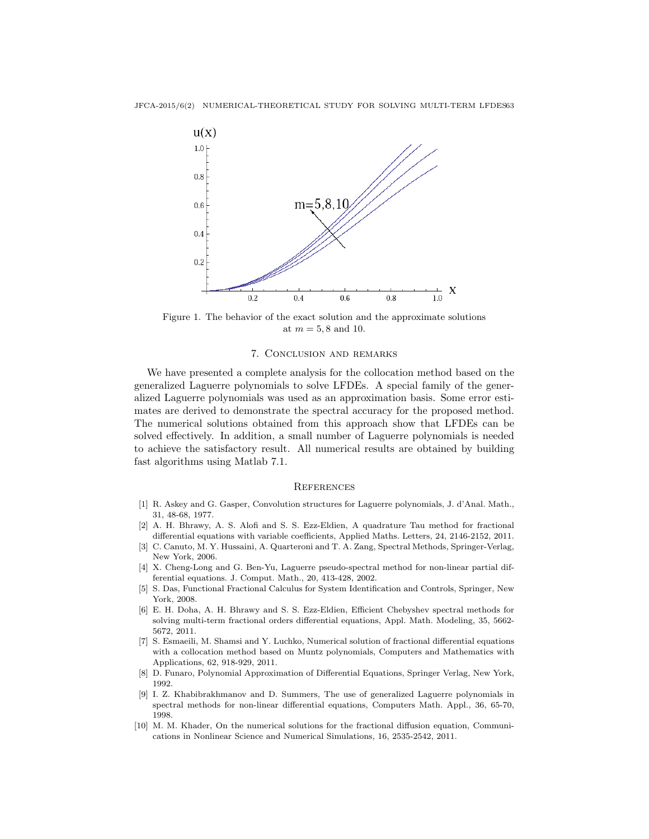

Figure 1. The behavior of the exact solution and the approximate solutions at  $m = 5, 8$  and 10.

### 7. Conclusion and remarks

We have presented a complete analysis for the collocation method based on the generalized Laguerre polynomials to solve LFDEs. A special family of the generalized Laguerre polynomials was used as an approximation basis. Some error estimates are derived to demonstrate the spectral accuracy for the proposed method. The numerical solutions obtained from this approach show that LFDEs can be solved effectively. In addition, a small number of Laguerre polynomials is needed to achieve the satisfactory result. All numerical results are obtained by building fast algorithms using Matlab 7.1.

#### **REFERENCES**

- <span id="page-10-7"></span>[1] R. Askey and G. Gasper, Convolution structures for Laguerre polynomials, J. d'Anal. Math., 31, 48-68, 1977.
- <span id="page-10-1"></span>[2] A. H. Bhrawy, A. S. Alofi and S. S. Ezz-Eldien, A quadrature Tau method for fractional differential equations with variable coefficients, Applied Maths. Letters, 24, 2146-2152, 2011.
- <span id="page-10-2"></span>[3] C. Canuto, M. Y. Hussaini, A. Quarteroni and T. A. Zang, Spectral Methods, Springer-Verlag, New York, 2006.
- <span id="page-10-3"></span>[4] X. Cheng-Long and G. Ben-Yu, Laguerre pseudo-spectral method for non-linear partial differential equations. J. Comput. Math., 20, 413-428, 2002.
- <span id="page-10-9"></span>[5] S. Das, Functional Fractional Calculus for System Identification and Controls, Springer, New York, 2008.
- <span id="page-10-6"></span>[6] E. H. Doha, A. H. Bhrawy and S. S. Ezz-Eldien, Efficient Chebyshev spectral methods for solving multi-term fractional orders differential equations, Appl. Math. Modeling, 35, 5662- 5672, 2011.
- <span id="page-10-4"></span>[7] S. Esmaeili, M. Shamsi and Y. Luchko, Numerical solution of fractional differential equations with a collocation method based on Muntz polynomials, Computers and Mathematics with Applications, 62, 918-929, 2011.
- <span id="page-10-5"></span>[8] D. Funaro, Polynomial Approximation of Differential Equations, Springer Verlag, New York, 1992.
- <span id="page-10-8"></span>[9] I. Z. Khabibrakhmanov and D. Summers, The use of generalized Laguerre polynomials in spectral methods for non-linear differential equations, Computers Math. Appl., 36, 65-70, 1998.
- <span id="page-10-0"></span>[10] M. M. Khader, On the numerical solutions for the fractional diffusion equation, Communications in Nonlinear Science and Numerical Simulations, 16, 2535-2542, 2011.